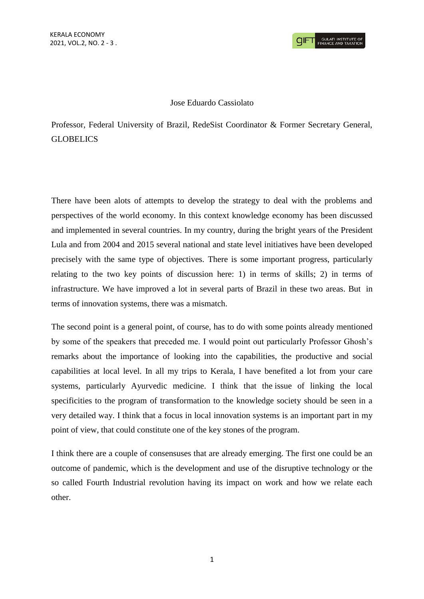## Jose Eduardo Cassiolato

Professor, Federal University of Brazil, RedeSist Coordinator & Former Secretary General, **GLOBELICS** 

There have been alots of attempts to develop the strategy to deal with the problems and perspectives of the world economy. In this context knowledge economy has been discussed and implemented in several countries. In my country, during the bright years of the President Lula and from 2004 and 2015 several national and state level initiatives have been developed precisely with the same type of objectives. There is some important progress, particularly relating to the two key points of discussion here: 1) in terms of skills; 2) in terms of infrastructure. We have improved a lot in several parts of Brazil in these two areas. But in terms of innovation systems, there was a mismatch.

The second point is a general point, of course, has to do with some points already mentioned by some of the speakers that preceded me. I would point out particularly Professor Ghosh's remarks about the importance of looking into the capabilities, the productive and social capabilities at local level. In all my trips to Kerala, I have benefited a lot from your care systems, particularly Ayurvedic medicine. I think that the issue of linking the local specificities to the program of transformation to the knowledge society should be seen in a very detailed way. I think that a focus in local innovation systems is an important part in my point of view, that could constitute one of the key stones of the program.

I think there are a couple of consensuses that are already emerging. The first one could be an outcome of pandemic, which is the development and use of the disruptive technology or the so called Fourth Industrial revolution having its impact on work and how we relate each other.